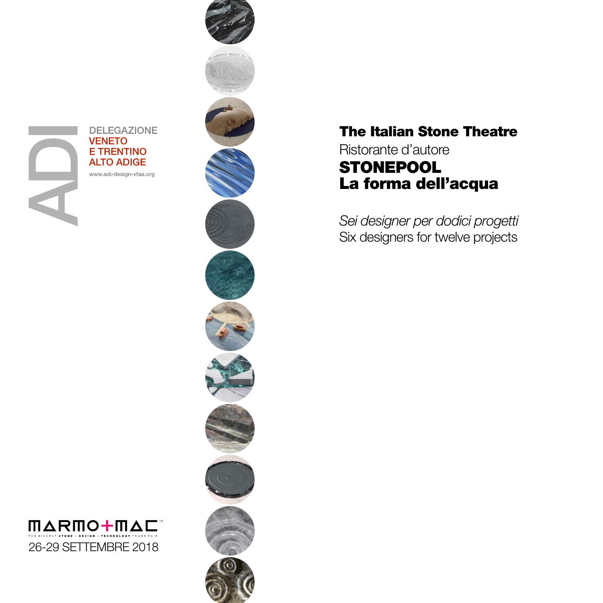# **DELEGAZIONE VENETO E TRENTINO ALTO ADIGE** www.adi-design-vtaa.org



## The Italian Stone Theatre

## Ristorante d'autore **STONEPOOL** La forma dell'acqua

*Sei designer per dodici progetti* Six designers for twelve projects

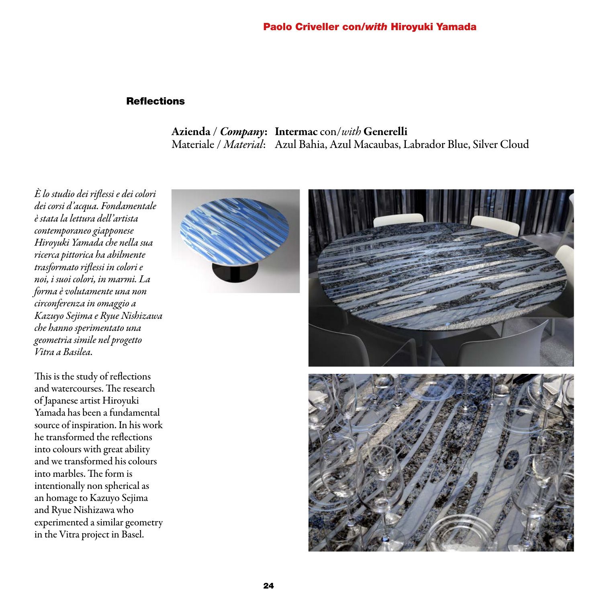#### Reflections

Azienda / *Company*: Intermac con/*with* Generelli Materiale / *Material*: Azul Bahia, Azul Macaubas, Labrador Blue, Silver Cloud

*È lo studio dei riflessi e dei colori dei corsi d'acqua. Fondamentale è stata la lettura dell'artista contemporaneo giapponese Hiroyuki Yamada che nella sua ricerca pittorica ha abilmente trasformato riflessi in colori e noi, i suoi colori, in marmi. La forma è volutamente una non circonferenza in omaggio a Kazuyo Sejima e Ryue Nishizawa che hanno sperimentato una geometria simile nel progetto Vitra a Basilea.*

This is the study of reflections and watercourses. The research of Japanese artist Hiroyuki Yamada has been a fundamental source of inspiration. In his work he transformed the reflections into colours with great ability and we transformed his colours into marbles. The form is intentionally non spherical as an homage to Kazuyo Sejima and Ryue Nishizawa who experimented a similar geometry in the Vitra project in Basel.



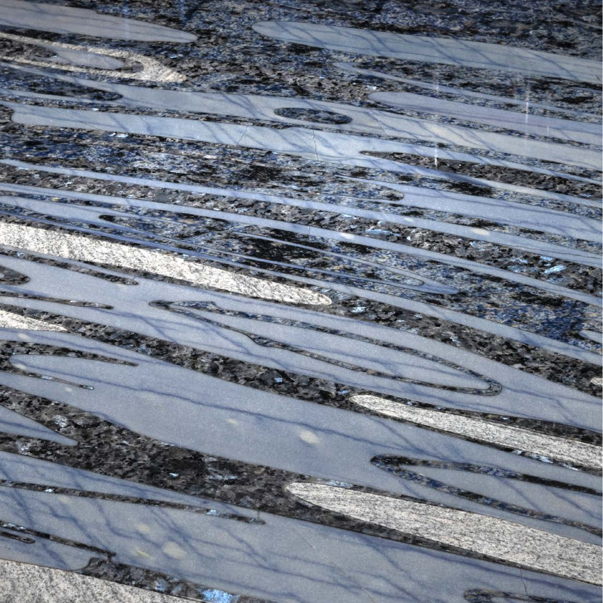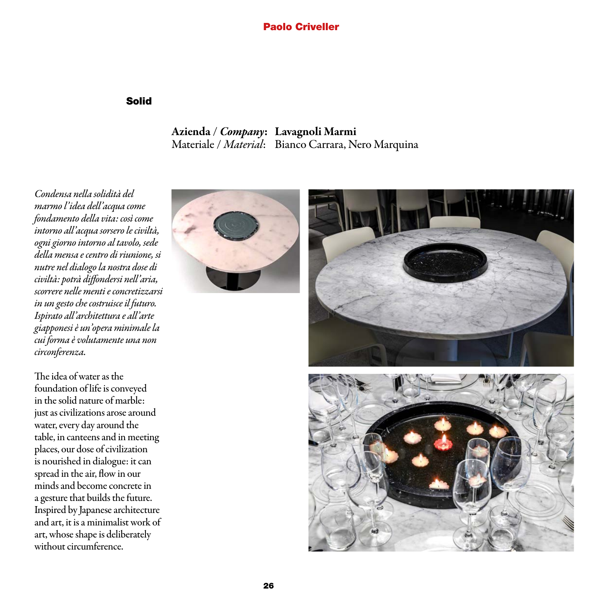#### Paolo Criveller

#### Solid

### Azienda / *Company*: Lavagnoli Marmi Materiale / *Material*: Bianco Carrara, Nero Marquina

*Condensa nella solidità del marmo l'idea dell'acqua come fondamento della vita: così come intorno all'acqua sorsero le civiltà, ogni giorno intorno al tavolo, sede della mensa e centro di riunione, si nutre nel dialogo la nostra dose di civiltà: potrà diffondersi nell'aria, scorrere nelle menti e concretizzarsi in un gesto che costruisce il futuro. Ispirato all'architettura e all'arte giapponesi è un'opera minimale la cui forma è volutamente una non circonferenza.*

The idea of water as the foundation of life is conveyed in the solid nature of marble: just as civilizations arose around water, every day around the table, in canteens and in meeting places, our dose of civilization is nourished in dialogue: it can spread in the air, flow in our minds and become concrete in a gesture that builds the future. Inspired by Japanese architecture and art, it is a minimalist work of art, whose shape is deliberately without circumference.